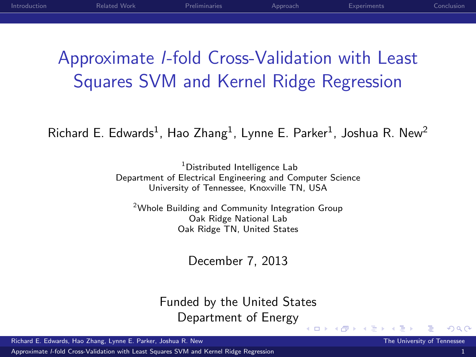# Approximate l-fold Cross-Validation with Least Squares SVM and Kernel Ridge Regression

 $Richard E.$  Edwards<sup>1</sup>, Hao Zhang<sup>1</sup>, Lynne E. Parker<sup>1</sup>, Joshua R. New<sup>2</sup>

<sup>1</sup>Distributed Intelligence Lab Department of Electrical Engineering and Computer Science University of Tennessee, Knoxville TN, USA

<sup>2</sup>Whole Building and Community Integration Group Oak Ridge National Lab Oak Ridge TN, United States

December 7, 2013

Funded by the United States Department of Energy

4 0 8

Richard E. Edwards, Hao Zhang, Lynne E. Parker, Joshua R. New The University of Tennessee The University of Tennessee

Approximate l[-fold Cross-Validation with Least Squares SVM and Kernel Ridge Regression](#page-26-0) 1

<span id="page-0-0"></span> $\Omega$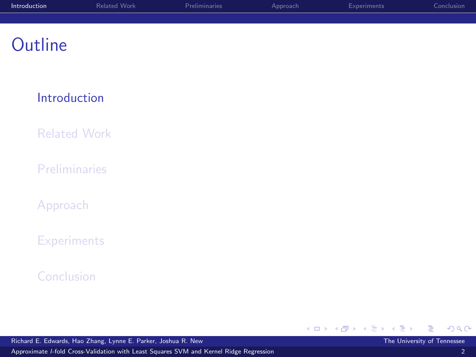| Introduction | Related Work | <b>Preliminaries</b> | Approach | <b>Experiments</b> | Conclusion |
|--------------|--------------|----------------------|----------|--------------------|------------|
|              |              |                      |          |                    |            |
|              |              |                      |          |                    |            |

#### [Introduction](#page-1-0)

[Related Work](#page-4-0)

**[Preliminaries](#page-6-0)** 

[Approach](#page-10-0)

**[Experiments](#page-18-0)** 

[Conclusion](#page-25-0)

<span id="page-1-0"></span> $298$ **◆ロ ▶ → 伊** → メ唐トメ唐ト э

Richard E. Edwards, Hao Zhang, Lynne E. Parker, Joshua R. New The University of Tennessee

Approximate l[-fold Cross-Validation with Least Squares SVM and Kernel Ridge Regression](#page-0-0) 2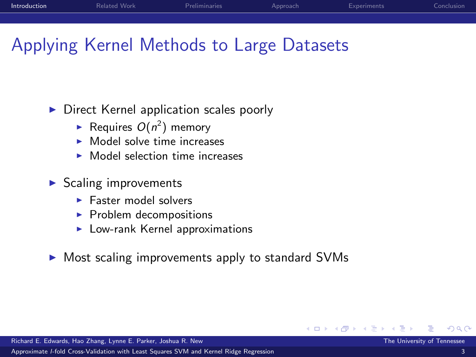| Introduction | Related Work | <b>Preliminaries</b> | Approach | Experiments | Conclusion |
|--------------|--------------|----------------------|----------|-------------|------------|
|              |              |                      |          |             |            |
|              |              |                      |          |             |            |

### Applying Kernel Methods to Large Datasets

 $\triangleright$  Direct Kernel application scales poorly

- Requires  $O(n^2)$  memory
- $\triangleright$  Model solve time increases
- $\triangleright$  Model selection time increases
- $\triangleright$  Scaling improvements
	- $\blacktriangleright$  Faster model solvers
	- $\blacktriangleright$  Problem decompositions
	- $\blacktriangleright$  Low-rank Kernel approximations
- $\triangleright$  Most scaling improvements apply to standard SVMs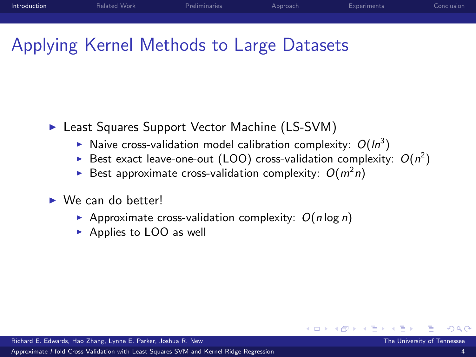| Introduction | Related Work | <b>Preliminaries</b> | Approach | Experiments | Conclusion |
|--------------|--------------|----------------------|----------|-------------|------------|
|              |              |                      |          |             |            |
|              |              |                      |          |             |            |

## Applying Kernel Methods to Large Datasets

- ▶ Least Squares Support Vector Machine (LS-SVM)
	- Naive cross-validation model calibration complexity:  $O(ln^3)$
	- Best exact leave-one-out (LOO) cross-validation complexity:  $O(n^2)$

- Best approximate cross-validation complexity:  $O(m^2 n)$
- $\triangleright$  We can do better!
	- Approximate cross-validation complexity:  $O(n \log n)$
	- $\triangleright$  Applies to LOO as well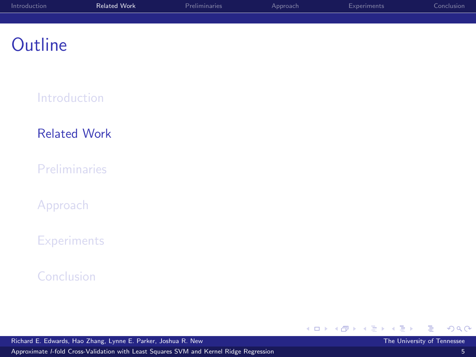| Introduction | <b>Related Work</b> | Preliminaries | Approach | Experiments | Conclusion |
|--------------|---------------------|---------------|----------|-------------|------------|
|              |                     |               |          |             |            |
|              |                     |               |          |             |            |

[Introduction](#page-1-0)

[Related Work](#page-4-0)

**[Preliminaries](#page-6-0)** 

[Approach](#page-10-0)

**[Experiments](#page-18-0)** 

[Conclusion](#page-25-0)

→ メ唐トメ唐ト

**◆ロ ▶ → 伊** 

Richard E. Edwards, Hao Zhang, Lynne E. Parker, Joshua R. New The University of Tennessee

Approximate l[-fold Cross-Validation with Least Squares SVM and Kernel Ridge Regression](#page-0-0) 5

<span id="page-4-0"></span>э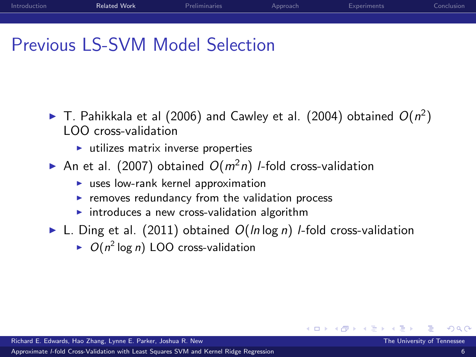| Introduction | <b>Related Work</b> | Preliminaries | Approach | Experiments | Conclusion |
|--------------|---------------------|---------------|----------|-------------|------------|
|              |                     |               |          |             |            |
|              |                     |               |          |             |            |

### Previous LS-SVM Model Selection

- $\blacktriangleright$  T. Pahikkala et al (2006) and Cawley et al. (2004) obtained  $O(n^2)$ LOO cross-validation
	- $\blacktriangleright$  utilizes matrix inverse properties
- An et al. (2007) obtained  $O(m^2n)$  *l*-fold cross-validation
	- $\blacktriangleright$  uses low-rank kernel approximation
	- $\blacktriangleright$  removes redundancy from the validation process
	- $\triangleright$  introduces a new cross-validation algorithm
- $\blacktriangleright$  L. Ding et al. (2011) obtained  $O(ln log n)$  *l*-fold cross-validation

4 0 8

 $\triangleright$  O( $n^2$  log n) LOO cross-validation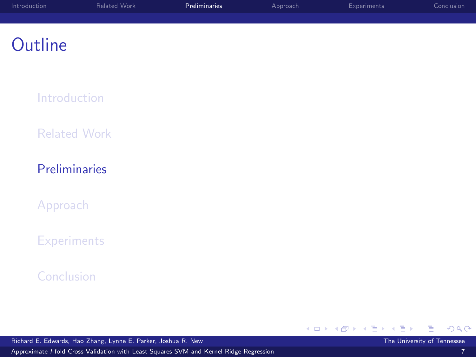| Introduction | Related Work | Preliminaries | Approach | Experiments | Conclusion |
|--------------|--------------|---------------|----------|-------------|------------|
|              |              |               |          |             |            |
|              |              |               |          |             |            |

[Introduction](#page-1-0)

[Related Work](#page-4-0)

#### [Preliminaries](#page-6-0)

[Approach](#page-10-0)

**[Experiments](#page-18-0)** 

[Conclusion](#page-25-0)

<span id="page-6-0"></span>Þ

メロメ メ都 メメ きょくきょ

Richard E. Edwards, Hao Zhang, Lynne E. Parker, Joshua R. New The University of Tennessee The University of Tennessee

Approximate l[-fold Cross-Validation with Least Squares SVM and Kernel Ridge Regression](#page-0-0) 7

 $299$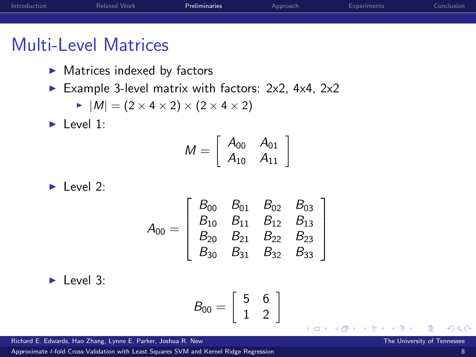| Introduction | Related Work | Preliminaries | Approach | Experiments | Conclusion |
|--------------|--------------|---------------|----------|-------------|------------|
|              |              |               |          |             |            |
|              |              |               |          |             |            |

### Multi-Level Matrices

- $\blacktriangleright$  Matrices indexed by factors
- Example 3-level matrix with factors:  $2x^2$ ,  $4x^4$ ,  $2x^2$

$$
\blacktriangleright |M| = (2 \times 4 \times 2) \times (2 \times 4 \times 2)
$$

 $\blacktriangleright$  Level 1:

$$
M = \left[ \begin{array}{cc} A_{00} & A_{01} \\ A_{10} & A_{11} \end{array} \right]
$$

 $\blacktriangleright$  Level 2:

$$
A_{00}=\left[\begin{array}{cccc}B_{00}&B_{01}&B_{02}&B_{03}\\B_{10}&B_{11}&B_{12}&B_{13}\\B_{20}&B_{21}&B_{22}&B_{23}\\B_{30}&B_{31}&B_{32}&B_{33}\end{array}\right]
$$

 $\blacktriangleright$  Level 3:

$$
B_{00}=\left[\begin{array}{cc}5 & 6 \\1 & 2 \end{array}\right]
$$

4 0 8

Richard E. Edwards, Hao Zhang, Lynne E. Parker, Joshua R. New The University of Tennessee The University of Tennessee

Approximate l[-fold Cross-Validation with Least Squares SVM and Kernel Ridge Regression](#page-0-0) 8

 $\Omega$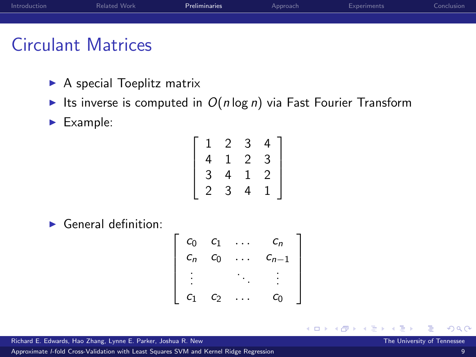| Introduction | Related Work | Preliminaries | Approach | Experiments | Conclusion |
|--------------|--------------|---------------|----------|-------------|------------|
|              |              |               |          |             |            |
|              |              |               |          |             |            |
| $\sim$       | . .          |               |          |             |            |

### Circulant Matrices

- $\blacktriangleright$  A special Toeplitz matrix
- Its inverse is computed in  $O(n \log n)$  via Fast Fourier Transform
- $\blacktriangleright$  Example:

| 1 | 2 | 3 | 4 |
|---|---|---|---|
| 4 | ı | 2 | 3 |
| 3 | 4 | 1 | 2 |
| 2 | 3 | 4 |   |

 $\blacktriangleright$  General definition:

$$
\left[\begin{array}{cccc}c_{0} & c_{1} & \ldots & c_{n} \\ c_{n} & c_{0} & \ldots & c_{n-1} \\ \vdots & \vdots & \ddots & \vdots \\ c_{1} & c_{2} & \ldots & c_{0}\end{array}\right]
$$

4 0 8

Richard E. Edwards, Hao Zhang, Lynne E. Parker, Joshua R. New The University of Tennessee The University of Tennessee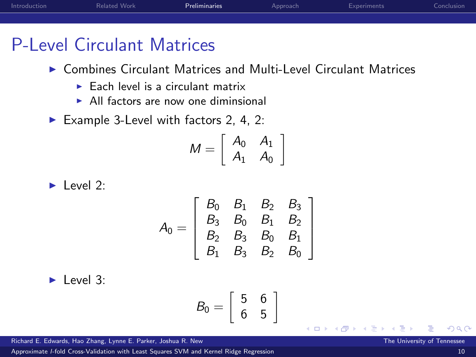| Introduction | Related Work | Preliminaries | Approach | Experiments | Conclusion |
|--------------|--------------|---------------|----------|-------------|------------|
|              |              |               |          |             |            |
|              |              |               |          |             |            |

### P-Level Circulant Matrices

- $\triangleright$  Combines Circulant Matrices and Multi-Level Circulant Matrices
	- $\blacktriangleright$  Each level is a circulant matrix
	- $\triangleright$  All factors are now one diminsional
- Example 3-Level with factors 2, 4, 2:

$$
M = \left[ \begin{array}{cc} A_0 & A_1 \\ A_1 & A_0 \end{array} \right]
$$

 $\blacktriangleright$  Level 2:

$$
A_0 = \left[ \begin{array}{cccc} B_0 & B_1 & B_2 & B_3 \\ B_3 & B_0 & B_1 & B_2 \\ B_2 & B_3 & B_0 & B_1 \\ B_1 & B_3 & B_2 & B_0 \end{array} \right]
$$

 $\blacktriangleright$  Level 3:

$$
B_0=\left[\begin{array}{cc}5 & 6 \\ 6 & 5\end{array}\right]
$$

4 0 8

Richard E. Edwards, Hao Zhang, Lynne E. Parker, Joshua R. New The University of Tennessee The University of Tennessee

Approximate l[-fold Cross-Validation with Least Squares SVM and Kernel Ridge Regression](#page-0-0) 10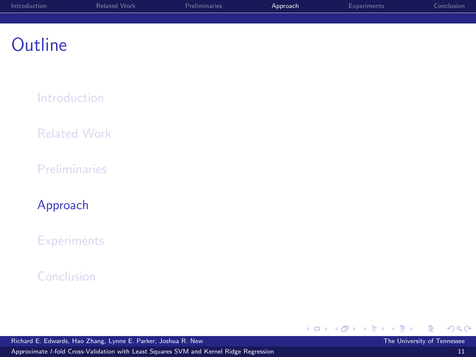| Introduction | Related Work | Preliminaries | Approach | Experiments | Conclusion |
|--------------|--------------|---------------|----------|-------------|------------|
|              |              |               |          |             |            |
|              |              |               |          |             |            |

[Introduction](#page-1-0)

[Related Work](#page-4-0)

**[Preliminaries](#page-6-0)** 

[Approach](#page-10-0)

**[Experiments](#page-18-0)** 

[Conclusion](#page-25-0)

Richard E. Edwards, Hao Zhang, Lynne E. Parker, Joshua R. New The University of Tennessee The University of Tennessee

メロメ メ都 メメ きょくきょ

<span id="page-10-0"></span>Þ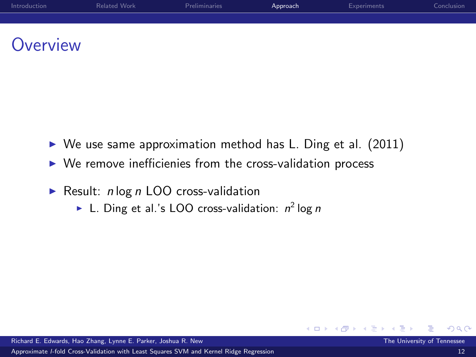| Introduction    | Related Work | Preliminaries | Approach | Experiments | Conclusion |
|-----------------|--------------|---------------|----------|-------------|------------|
|                 |              |               |          |             |            |
|                 |              |               |          |             |            |
| <b>Overview</b> |              |               |          |             |            |

- $\triangleright$  We use same approximation method has L. Ding et al. (2011)
- $\triangleright$  We remove inefficienies from the cross-validation process
- Result:  $n \log n$  LOO cross-validation
	- In L. Ding et al.'s LOO cross-validation:  $n^2 \log n$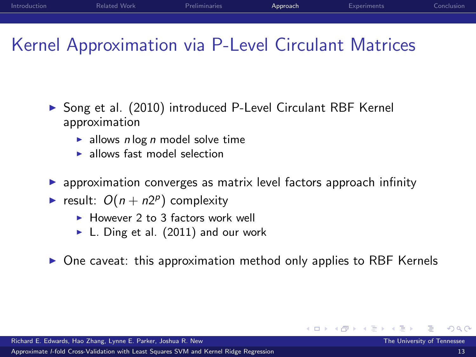| Introduction | Related Work | Preliminaries | Approach | Experiments | Conclusion |
|--------------|--------------|---------------|----------|-------------|------------|
|              |              |               |          |             |            |

### Kernel Approximation via P-Level Circulant Matrices

- ▶ Song et al. (2010) introduced P-Level Circulant RBF Kernel approximation
	- ightharpoonup allows n log n model solve time
	- **I** allows fast model selection
- $\triangleright$  approximation converges as matrix level factors approach infinity
- result:  $O(n + n2^p)$  complexity
	- $\blacktriangleright$  However 2 to 3 factors work well
	- $\blacktriangleright$  L. Ding et al. (2011) and our work
- $\triangleright$  One caveat: this approximation method only applies to RBF Kernels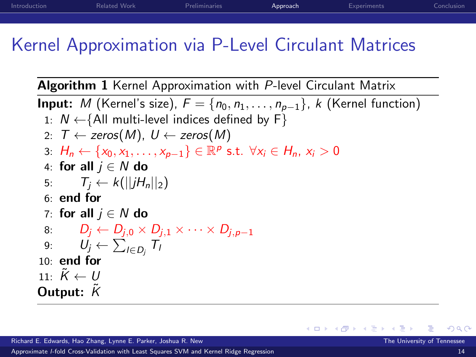## Kernel Approximation via P-Level Circulant Matrices

Algorithm 1 Kernel Approximation with P-level Circulant Matrix

**Input:** M (Kernel's size),  $F = \{n_0, n_1, \ldots, n_{p-1}\}, k$  (Kernel function) 1:  $N \leftarrow \{All \text{ multi-level indices defined by } F\}$ 2:  $T \leftarrow$  zeros(M),  $U \leftarrow$  zeros(M) 3:  $H_n \leftarrow \{x_0, x_1, \ldots, x_{p-1}\} \in \mathbb{R}^p$  s.t.  $\forall x_i \in H_n$ ,  $x_i > 0$ 4: for all  $i \in N$  do 5:  $T_i \leftarrow k(||iH_n||_2)$ 6: end for 7: for all  $i \in N$  do 8:  $D_i \leftarrow D_{i,0} \times D_{i,1} \times \cdots \times D_{i,n-1}$ 9:  $U_j \leftarrow \sum_{I \in D_j} T_I$ 10: end for 11:  $\tilde{K} \leftarrow U$ Output:  $K$ 

**∢ ロ ▶ - ィ <sub>印</sub>**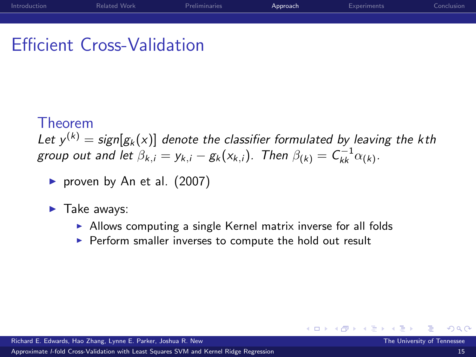### Efficient Cross-Validation

#### Theorem

Let  $y^{(k)} = \frac{\text{sign}[g_k(x)]}{\text{denote the classifier formulated by leaving the kth}}$ group out and let  $\beta_{k,i} = y_{k,i} - g_k(x_{k,i})$ . Then  $\beta_{(k)} = C_{kk}^{-1} \alpha_{(k)}$ .

- riangleright proven by An et al.  $(2007)$
- $\blacktriangleright$  Take aways:
	- $\triangleright$  Allows computing a single Kernel matrix inverse for all folds

4 0 8

 $\triangleright$  Perform smaller inverses to compute the hold out result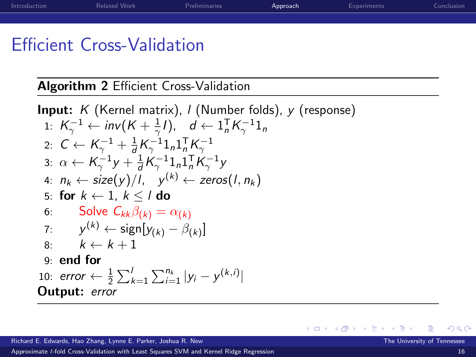| Introduction                     | Related Work | Preliminaries | Approach | Experiments | Conclusion |
|----------------------------------|--------------|---------------|----------|-------------|------------|
|                                  |              |               |          |             |            |
| ____<br>$\overline{\phantom{a}}$ | .            |               |          |             |            |

### Efficient Cross-Validation

Algorithm 2 Efficient Cross-Validation

Input: 
$$
K
$$
 (Kernel matrix),  $I$  (Number folds),  $y$  (response) \n1:  $K_{\gamma}^{-1} \leftarrow inv(K + \frac{1}{\gamma}I), \quad d \leftarrow 1_n^T K_{\gamma}^{-1} 1_n$ \n2:  $C \leftarrow K_{\gamma}^{-1} + \frac{1}{d} K_{\gamma}^{-1} 1_n 1_n^T K_{\gamma}^{-1}$ \n3:  $\alpha \leftarrow K_{\gamma}^{-1} y + \frac{1}{d} K_{\gamma}^{-1} 1_n 1_n^T K_{\gamma}^{-1} y$ \n4:  $n_k \leftarrow \text{size}(y)/I, \quad y^{(k)} \leftarrow \text{zeros}(I, n_k)$ \n5: **for**  $k \leftarrow 1, k \leq I$  **do**\n6: Solve  $C_{kk}\beta_{(k)} = \alpha_{(k)}$ \n7:  $y^{(k)} \leftarrow \text{sign}[y_{(k)} - \beta_{(k)}]$ \n8:  $k \leftarrow k + 1$ \n9: **end for**\n10: **error**  $\leftarrow \frac{1}{2} \sum_{k=1}^{I} \sum_{i=1}^{n_k} |y_i - y^{(k,i)}|$ \n**Output: error**

**∢ ロ ▶ イ 伊** 

 $\rightarrow$ э  $\rightarrow$ × ∍

×.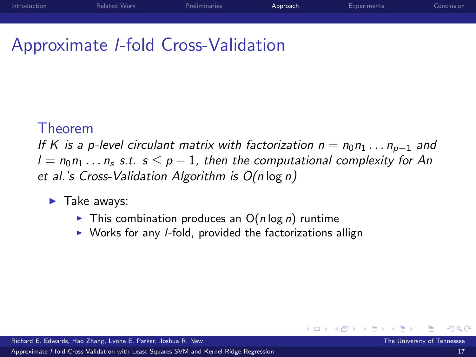### Approximate l-fold Cross-Validation

#### Theorem

If K is a p-level circulant matrix with factorization  $n = n_0 n_1 \dots n_{p-1}$  and  $l = n_0 n_1 \dots n_s$  s.t.  $s \leq p-1$ , then the computational complexity for An et al.'s Cross-Validation Algorithm is O(n log n)

- $\blacktriangleright$  Take aways:
	- $\triangleright$  This combination produces an O(n log n) runtime
	- $\triangleright$  Works for any *I*-fold, provided the factorizations allign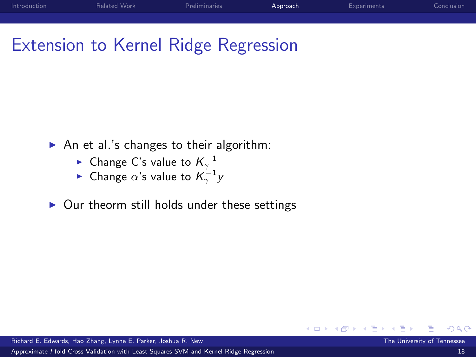| Introduction | Related Work | Preliminaries | Approach | Experiments | Conclusion |
|--------------|--------------|---------------|----------|-------------|------------|
|              |              |               |          |             |            |

#### Extension to Kernel Ridge Regression

- An et al.'s changes to their algorithm:
	-
	- ► Change C's value to  $K_{\gamma}^{-1}$ <br>► Change α's value to  $K_{\gamma}^{-1}$  y
- $\triangleright$  Our theorm still holds under these settings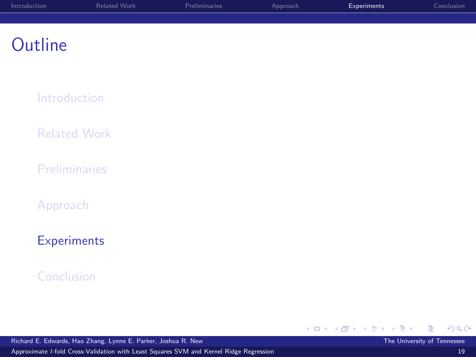| Introduction | Related Work | Preliminaries | Approach | Experiments | Conclusion |
|--------------|--------------|---------------|----------|-------------|------------|
|              |              |               |          |             |            |
|              |              |               |          |             |            |

[Introduction](#page-1-0)

[Related Work](#page-4-0)

**[Preliminaries](#page-6-0)** 

[Approach](#page-10-0)

#### **[Experiments](#page-18-0)**

#### [Conclusion](#page-25-0)

Richard E. Edwards, Hao Zhang, Lynne E. Parker, Joshua R. New The University of Tennessee

Approximate l[-fold Cross-Validation with Least Squares SVM and Kernel Ridge Regression](#page-0-0) 19

<span id="page-18-0"></span>→ メ唐トメ唐ト

**◆ロ ▶ → 伊**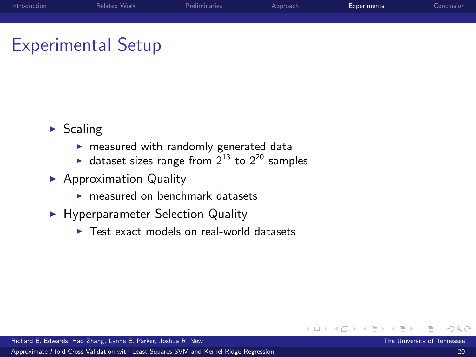| Introduction | Related Work | Preliminaries | Approach | Experiments | Conclusion |
|--------------|--------------|---------------|----------|-------------|------------|
|              |              |               |          |             |            |
|              |              |               |          |             |            |

#### Experimental Setup

- $\blacktriangleright$  Scaling
	- $\blacktriangleright$  measured with randomly generated data
	- ightharpoonup dataset sizes range from  $2^{13}$  to  $2^{20}$  samples
- $\blacktriangleright$  Approximation Quality
	- $\blacktriangleright$  measured on benchmark datasets
- **Hyperparameter Selection Quality** 
	- $\triangleright$  Test exact models on real-world datasets

 $\leftarrow$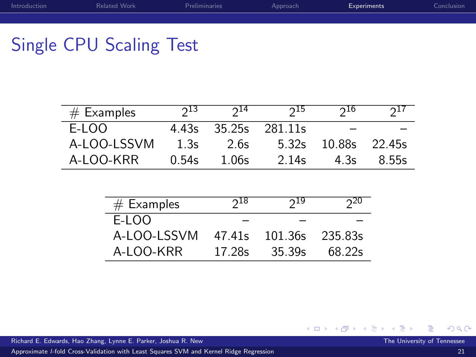| Introduction | Related Work | Preliminaries | Approach | Experiments | Conclusion |
|--------------|--------------|---------------|----------|-------------|------------|
|              |              |               |          |             |            |
|              |              |               |          |             |            |

## Single CPU Scaling Test

| $#$ Examples | 213   | $2^{14}$ | $2^{15}$             | 210                 | 211   |
|--------------|-------|----------|----------------------|---------------------|-------|
| E-LOO        |       |          | 4.43s 35.25s 281.11s |                     |       |
| A-LOO-LSSVM  | 1.3s  | 2.6s     |                      | 5.32s 10.88s 22.45s |       |
| A-LOO-KRR    | 0.54s | 1.06s    | 2.14s                | 4.3s                | 8.55s |

| $#$ Examples | $2^{18}$ | $2^{19}$ | $2^{20}$ |
|--------------|----------|----------|----------|
| E-LOO        |          |          |          |
| A-LOO-LSSVM  | 47.41s   | 101.36s  | 235.83s  |
| A-LOO-KRR    | 17.28s   | 35.39s   | 68.22s   |

Richard E. Edwards, Hao Zhang, Lynne E. Parker, Joshua R. New The University of Tennessee The University of Tennessee

Approximate l[-fold Cross-Validation with Least Squares SVM and Kernel Ridge Regression](#page-0-0) 21

K ロト K 御 ト K 君 ト K 君 ト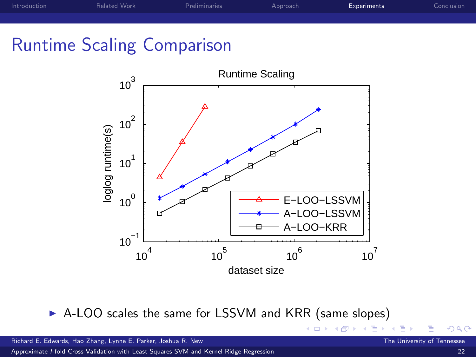| Introduction | Related Work | Preliminaries | Approach | Experiments | Conclusion |
|--------------|--------------|---------------|----------|-------------|------------|
|              |              |               |          |             |            |
|              |              |               |          |             |            |

#### Runtime Scaling Comparison



▶ A-LOO scales the same for LSSVM and KRR (same slopes)

<span id="page-21-0"></span>4 0 8

Approximate l[-fold Cross-Validation with Least Squares SVM and Kernel Ridge Regression](#page-0-0) 22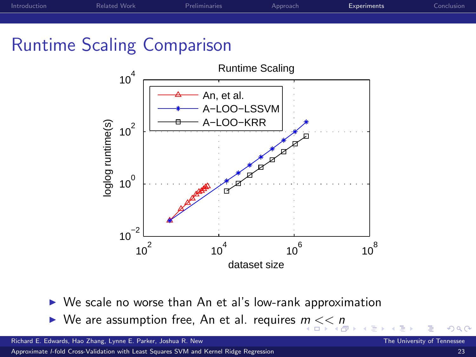| Introduction | Related Work | Preliminaries | Approach | Experiments | Conclusion |
|--------------|--------------|---------------|----------|-------------|------------|
|              |              |               |          |             |            |
|              |              |               |          |             |            |

#### Runtime Scaling Comparison



- $\triangleright$  We scale no worse than An et al's low-rank approximation
- <span id="page-22-0"></span> $\blacktriangleright$  $\blacktriangleright$  $\blacktriangleright$  We are assu[m](#page-21-0)ption free, An et al. requires  $m \ll n$

Richard E. Edwards, Hao Zhang, Lynne E. Parker, Joshua R. New The University of Tennessee The University of Tennessee

Approximate l[-fold Cross-Validation with Least Squares SVM and Kernel Ridge Regression](#page-0-0) 23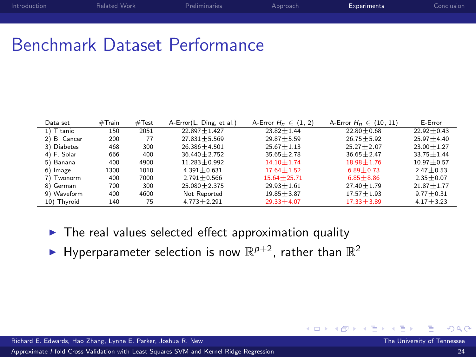| Introduction | Related Work | <b>Preliminaries</b> | Approach | <b>Experiments</b> | Conclusion |
|--------------|--------------|----------------------|----------|--------------------|------------|
|              |              |                      |          |                    |            |

#### Benchmark Dataset Performance

| Data set     | #Train | #Test | A-Error(L. Ding, et al.) | A-Error $H_n \in (1, 2)$ | A-Error $H_n \in (10, 11)$ | E-Error        |
|--------------|--------|-------|--------------------------|--------------------------|----------------------------|----------------|
| 1) Titanic   | 150    | 2051  | $22.897 + 1.427$         | $23.82 + 1.44$           | $22.80 + 0.68$             | $22.92 + 0.43$ |
| 2) B. Cancer | 200    | 77    | $27.831 + 5.569$         | $29.87 + 5.59$           | $26.75 + 5.92$             | $25.97 + 4.40$ |
| 3) Diabetes  | 468    | 300   | $26.386 + 4.501$         | $25.67 + 1.13$           | $25.27 + 2.07$             | $23.00 + 1.27$ |
| 4) F. Solar  | 666    | 400   | $36.440 + 2.752$         | $35.65 + 2.78$           | $36.65 + 2.47$             | $33.75 + 1.44$ |
| 5) Banana    | 400    | 4900  | $11.283 + 0.992$         | $14.10 + 1.74$           | $18.98 + 1.76$             | $10.97 + 0.57$ |
| 6) Image     | 1300   | 1010  | $4.391 + 0.631$          | $17.64 + 1.52$           | $6.89 + 0.73$              | $2.47 + 0.53$  |
| 7) Twonorm   | 400    | 7000  | $2.791 + 0.566$          | $15.64 + 25.71$          | $6.85 + 8.86$              | $2.35 + 0.07$  |
| 8) German    | 700    | 300   | $25.080 + 2.375$         | $29.93 + 1.61$           | $27.40 + 1.79$             | $21.87 + 1.77$ |
| 9) Waveform  | 400    | 4600  | Not Reported             | $19.85 + 3.87$           | $17.57 + 1.93$             | $9.77 + 0.31$  |
| 10) Thyroid  | 140    | 75    | $4.773 + 2.291$          | $29.33 + 4.07$           | $17.33 + 3.89$             | $4.17 + 3.23$  |

- $\blacktriangleright$  The real values selected effect approximation quality
- <span id="page-23-0"></span> $\blacktriangleright$  Hyperparameter selection is now  $\mathbb{R}^{p+2}$ , rather than  $\mathbb{R}^2$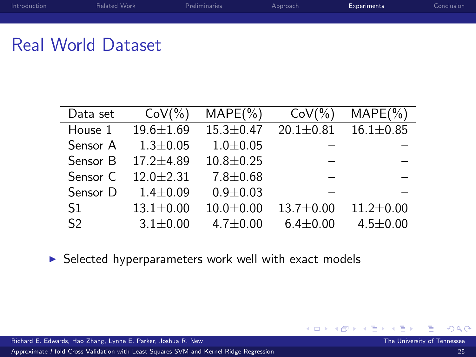| Introduction | Related Work | Preliminaries | Approach | Experiments | Conclusion |
|--------------|--------------|---------------|----------|-------------|------------|
|              |              |               |          |             |            |
|              |              |               |          |             |            |

#### Real World Dataset

| Data set       | $CoV(\% )$      | $MAPE(\%)$      | $CoV(\%)$       | $MAPE(\%)$      |
|----------------|-----------------|-----------------|-----------------|-----------------|
| House 1        | 19.6±1.69       | $15.3 \pm 0.47$ | $20.1 \pm 0.81$ | $16.1 \pm 0.85$ |
| Sensor A       | $1.3 \pm 0.05$  | $1.0 + 0.05$    |                 |                 |
| Sensor B       | $17.2 + 4.89$   | $10.8 + 0.25$   |                 |                 |
| Sensor C       | $12.0 + 2.31$   | $7.8 \pm 0.68$  |                 |                 |
| Sensor D       | $1.4 + 0.09$    | $0.9 + 0.03$    |                 |                 |
| S1             | $13.1 \pm 0.00$ | $10.0 + 0.00$   | $13.7 \pm 0.00$ | $11.2 \pm 0.00$ |
| S <sub>2</sub> | $3.1 \pm 0.00$  | $4.7 \pm 0.00$  | $6.4 \pm 0.00$  | $4.5 \pm 0.00$  |

 $\blacktriangleright$  Selected hyperparameters work well with exact models

œ

医重新 化

**← ロ ▶ → イ 冊**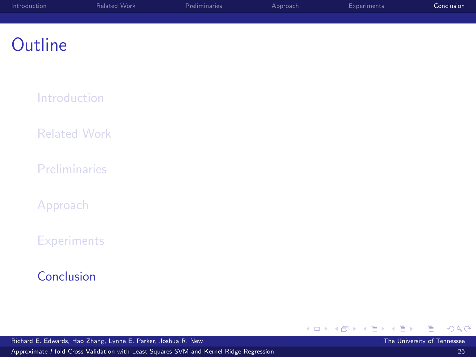| Introduction | Related Work | Preliminaries | Approach | Experiments | Conclusion |
|--------------|--------------|---------------|----------|-------------|------------|
|              |              |               |          |             |            |
|              |              |               |          |             |            |

[Introduction](#page-1-0)

[Related Work](#page-4-0)

**[Preliminaries](#page-6-0)** 

[Approach](#page-10-0)

**[Experiments](#page-18-0)** 

#### [Conclusion](#page-25-0)

Richard E. Edwards, Hao Zhang, Lynne E. Parker, Joshua R. New The University of Tennessee

<span id="page-25-0"></span>Þ

メロメ メ都 メメ きょくきょ